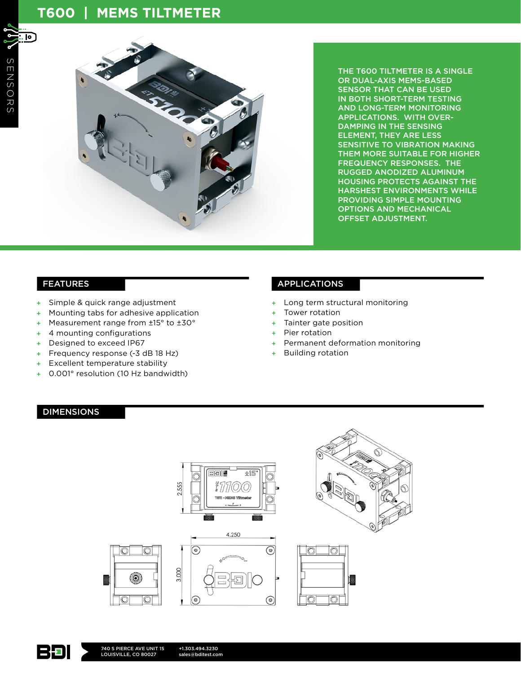# **T600 | MEMS TILTMETER**

冋



THE T600 TILTMETER IS A SINGLE OR DUAL-AXIS MEMS-BASED SENSOR THAT CAN BE USED IN BOTH SHORT-TERM TESTING AND LONG-TERM MONITORING APPLICATIONS. WITH OVER-DAMPING IN THE SENSING ELEMENT, THEY ARE LESS SENSITIVE TO VIBRATION MAKING THEM MORE SUITABLE FOR HIGHER FREQUENCY RESPONSES. THE RUGGED ANODIZED ALUMINUM HOUSING PROTECTS AGAINST THE HARSHEST ENVIRONMENTS WHILE PROVIDING SIMPLE MOUNTING OPTIONS AND MECHANICAL OFFSET ADJUSTMENT.

- + Simple & quick range adjustment
- Mounting tabs for adhesive application
- + Measurement range from ±15° to ±30°
- + 4 mounting configurations
- + Designed to exceed IP67
- + Frequency response (-3 dB 18 Hz)
- + Excellent temperature stability
- + 0.001° resolution (10 Hz bandwidth)

#### FEATURES APPLICATIONS

- + Long term structural monitoring
- Tower rotation
- Tainter gate position
- + Pier rotation
- Permanent deformation monitoring
- + Building rotation

### DIMENSIONS





+1.303.494.3230 sales@bditest.com